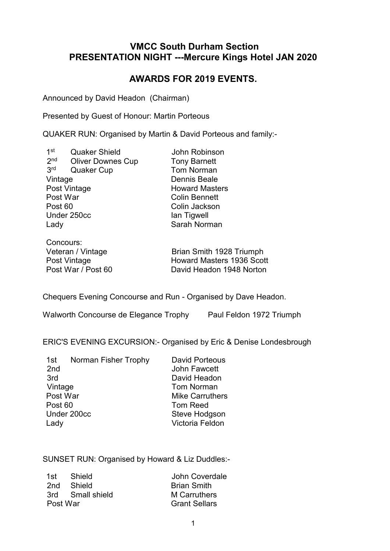# **VMCC South Durham Section PRESENTATION NIGHT ---Mercure Kings Hotel JAN 2020**

# **AWARDS FOR 2019 EVENTS.**

Announced by David Headon (Chairman)

Presented by Guest of Honour: Martin Porteous

QUAKER RUN: Organised by Martin & David Porteous and family:-

 $1<sup>st</sup>$ Quaker Shield **John Robinson**<br>
Oliver Downes Cup **Tony Barnett**  $2<sub>nd</sub>$ Oliver Downes Cup  $3<sup>rd</sup>$ Quaker Cup Tom Norman Vintage Dennis Beale Post Vintage **Howard Masters** Post War Colin Bennett Post 60 Colin Jackson Under 250cc Ian Tigwell Lady **Sarah Norman** 

Concours:<br>Veteran / Vintage Post Vintage **Howard Masters 1936 Scott**<br>Post War / Post 60 **Notify Control** David Headon 1948 Norton

Brian Smith 1928 Triumph David Headon 1948 Norton

Chequers Evening Concourse and Run - Organised by Dave Headon.

Walworth Concourse de Elegance Trophy Paul Feldon 1972 Triumph

ERIC'S EVENING EXCURSION:- Organised by Eric & Denise Londesbrough

1st Norman Fisher Trophy David Porteous 2nd John Fawcett 3rd David Headon Vintage **Tom Norman** Post War Mike Carruthers<br>Post 60 Tom Reed Tom Reed Under 200cc Steve Hodgson Lady Victoria Feldon

SUNSET RUN: Organised by Howard & Liz Duddles:-

|          | 1st Shield       | John Coverdale       |
|----------|------------------|----------------------|
|          | 2nd Shield       | <b>Brian Smith</b>   |
|          | 3rd Small shield | M Carruthers         |
| Post War |                  | <b>Grant Sellars</b> |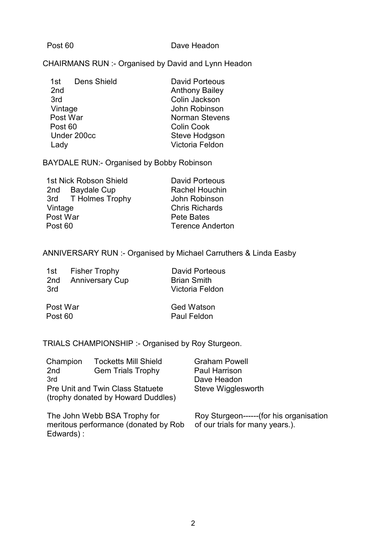#### Post 60 Dave Headon

### CHAIRMANS RUN :- Organised by David and Lynn Headon

| <b>David Porteous</b> |
|-----------------------|
| <b>Anthony Bailey</b> |
| Colin Jackson         |
| John Robinson         |
| <b>Norman Stevens</b> |
| <b>Colin Cook</b>     |
| Steve Hodgson         |
| Victoria Feldon       |
|                       |

BAYDALE RUN:- Organised by Bobby Robinson

| 1st Nick Robson Shield |                     | <b>David Porteous</b>   |
|------------------------|---------------------|-------------------------|
|                        | 2nd Baydale Cup     | <b>Rachel Houchin</b>   |
|                        | 3rd T Holmes Trophy | John Robinson           |
| Vintage                |                     | <b>Chris Richards</b>   |
| Post War               |                     | Pete Bates              |
| Post 60                |                     | <b>Terence Anderton</b> |
|                        |                     |                         |

## ANNIVERSARY RUN :- Organised by Michael Carruthers & Linda Easby

| 1st<br>3rd          | <b>Fisher Trophy</b><br>2nd Anniversary Cup | David Porteous<br><b>Brian Smith</b><br>Victoria Feldon |
|---------------------|---------------------------------------------|---------------------------------------------------------|
| Post War<br>Post 60 |                                             | <b>Ged Watson</b><br>Paul Feldon                        |

TRIALS CHAMPIONSHIP :- Organised by Roy Sturgeon.

| Champion                                                                      | <b>Tocketts Mill Shield</b> | <b>Graham Powell</b> |
|-------------------------------------------------------------------------------|-----------------------------|----------------------|
| 2nd                                                                           | <b>Gem Trials Trophy</b>    | <b>Paul Harrison</b> |
| 3rd                                                                           |                             | Dave Headon          |
| <b>Pre Unit and Twin Class Statuete</b><br>(trophy donated by Howard Duddles) |                             | Steve Wigglesworth   |

The John Webb BSA Trophy for meritous performance (donated by Rob of our trials for many years.).Edwards) : Roy Sturgeon------(for his organisation